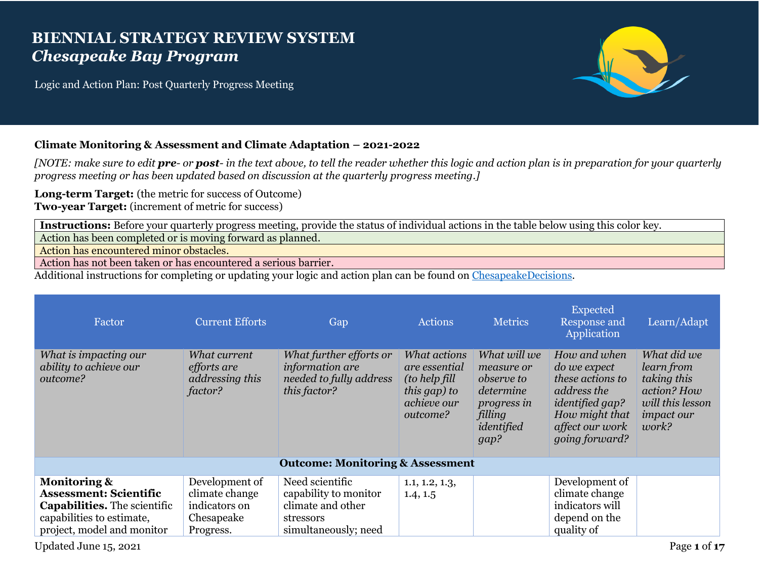## **BIENNIAL STRATEGY REVIEW SYSTEM** *Chesapeake Bay Program*

Logic and Action Plan: Post Quarterly Progress Meeting



## **Climate Monitoring & Assessment and Climate Adaptation – 2021-2022**

*[NOTE: make sure to edit pre- or post- in the text above, to tell the reader whether this logic and action plan is in preparation for your quarterly progress meeting or has been updated based on discussion at the quarterly progress meeting.]*

**Long-term Target:** (the metric for success of Outcome) **Two-year Target:** (increment of metric for success)

**Instructions:** Before your quarterly progress meeting, provide the status of individual actions in the table below using this color key.

Action has been completed or is moving forward as planned.

Action has encountered minor obstacles.

Action has not been taken or has encountered a serious barrier.

Additional instructions for completing or updating your logic and action plan can be found on [ChesapeakeDecisions.](http://www.chesapeakebay.net/decisions/srs-guide)

| Factor                                                                                                                                                     | <b>Current Efforts</b>                                                       | Gap                                                                                                | Actions                                                                                           | <b>Metrics</b>                                                                                                      | <b>Expected</b><br>Response and<br>Application                                                                                                                 | Learn/Adapt                                                                                               |
|------------------------------------------------------------------------------------------------------------------------------------------------------------|------------------------------------------------------------------------------|----------------------------------------------------------------------------------------------------|---------------------------------------------------------------------------------------------------|---------------------------------------------------------------------------------------------------------------------|----------------------------------------------------------------------------------------------------------------------------------------------------------------|-----------------------------------------------------------------------------------------------------------|
| What is impacting our<br>ability to achieve our<br>outcome?                                                                                                | What current<br>efforts are<br>addressing this<br>factor?                    | What further efforts or<br>information are<br>needed to fully address<br>this factor?              | What actions<br>are essential<br><i>(to help fill)</i><br>this gap) to<br>achieve our<br>outcome? | What will we<br>measure or<br><i>observe to</i><br>determine<br><i>progress in</i><br>filling<br>identified<br>gap? | How and when<br><i>do we expect</i><br>these actions to<br>address the<br><i>identified gap?</i><br>How might that<br>affect our work<br><i>going forward?</i> | What did we<br>learn from<br>taking this<br>action? How<br>will this lesson<br><i>impact our</i><br>work? |
|                                                                                                                                                            |                                                                              | <b>Outcome: Monitoring &amp; Assessment</b>                                                        |                                                                                                   |                                                                                                                     |                                                                                                                                                                |                                                                                                           |
| <b>Monitoring &amp;</b><br><b>Assessment: Scientific</b><br><b>Capabilities.</b> The scientific<br>capabilities to estimate,<br>project, model and monitor | Development of<br>climate change<br>indicators on<br>Chesapeake<br>Progress. | Need scientific<br>capability to monitor<br>climate and other<br>stressors<br>simultaneously; need | 1.1, 1.2, 1.3,<br>1.4, 1.5                                                                        |                                                                                                                     | Development of<br>climate change<br>indicators will<br>depend on the<br>quality of                                                                             |                                                                                                           |

Updated June 15, 2021 Page **1** of **17**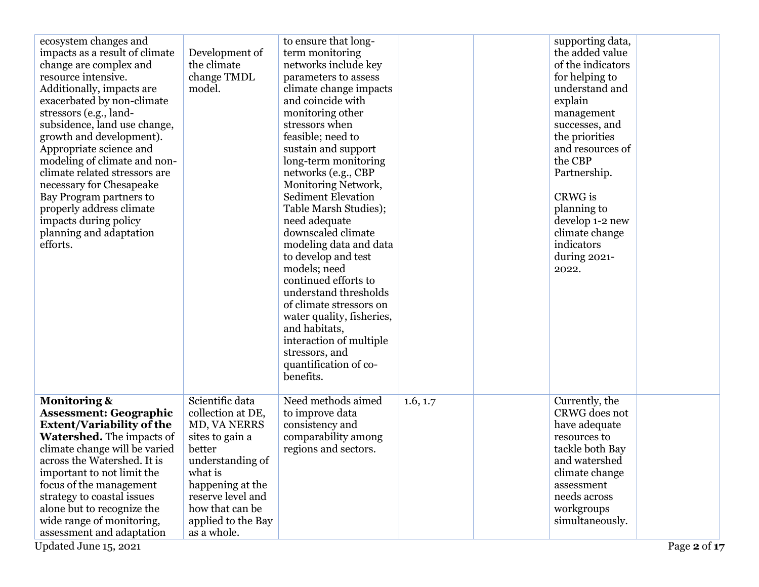| ecosystem changes and<br>impacts as a result of climate<br>change are complex and<br>resource intensive.<br>Additionally, impacts are<br>exacerbated by non-climate<br>stressors (e.g., land-<br>subsidence, land use change,<br>growth and development).<br>Appropriate science and<br>modeling of climate and non-<br>climate related stressors are<br>necessary for Chesapeake<br>Bay Program partners to<br>properly address climate<br>impacts during policy<br>planning and adaptation<br>efforts. | Development of<br>the climate<br>change TMDL<br>model.                                                                                                                                                            | to ensure that long-<br>term monitoring<br>networks include key<br>parameters to assess<br>climate change impacts<br>and coincide with<br>monitoring other<br>stressors when<br>feasible; need to<br>sustain and support<br>long-term monitoring<br>networks (e.g., CBP<br>Monitoring Network,<br><b>Sediment Elevation</b><br>Table Marsh Studies);<br>need adequate<br>downscaled climate<br>modeling data and data<br>to develop and test<br>models; need<br>continued efforts to<br>understand thresholds<br>of climate stressors on<br>water quality, fisheries,<br>and habitats,<br>interaction of multiple<br>stressors, and<br>quantification of co-<br>benefits. |          | supporting data,<br>the added value<br>of the indicators<br>for helping to<br>understand and<br>explain<br>management<br>successes, and<br>the priorities<br>and resources of<br>the CBP<br>Partnership.<br>CRWG is<br>planning to<br>develop 1-2 new<br>climate change<br>indicators<br>during 2021-<br>2022. |  |
|----------------------------------------------------------------------------------------------------------------------------------------------------------------------------------------------------------------------------------------------------------------------------------------------------------------------------------------------------------------------------------------------------------------------------------------------------------------------------------------------------------|-------------------------------------------------------------------------------------------------------------------------------------------------------------------------------------------------------------------|---------------------------------------------------------------------------------------------------------------------------------------------------------------------------------------------------------------------------------------------------------------------------------------------------------------------------------------------------------------------------------------------------------------------------------------------------------------------------------------------------------------------------------------------------------------------------------------------------------------------------------------------------------------------------|----------|----------------------------------------------------------------------------------------------------------------------------------------------------------------------------------------------------------------------------------------------------------------------------------------------------------------|--|
| <b>Monitoring &amp;</b><br><b>Assessment: Geographic</b><br><b>Extent/Variability of the</b><br><b>Watershed.</b> The impacts of<br>climate change will be varied<br>across the Watershed. It is<br>important to not limit the<br>focus of the management<br>strategy to coastal issues<br>alone but to recognize the<br>wide range of monitoring,<br>assessment and adaptation                                                                                                                          | Scientific data<br>collection at DE,<br>MD, VA NERRS<br>sites to gain a<br>better<br>understanding of<br>what is<br>happening at the<br>reserve level and<br>how that can be<br>applied to the Bay<br>as a whole. | Need methods aimed<br>to improve data<br>consistency and<br>comparability among<br>regions and sectors.                                                                                                                                                                                                                                                                                                                                                                                                                                                                                                                                                                   | 1.6, 1.7 | Currently, the<br>CRWG does not<br>have adequate<br>resources to<br>tackle both Bay<br>and watershed<br>climate change<br>assessment<br>needs across<br>workgroups<br>simultaneously.                                                                                                                          |  |

Updated June  $15, 2021$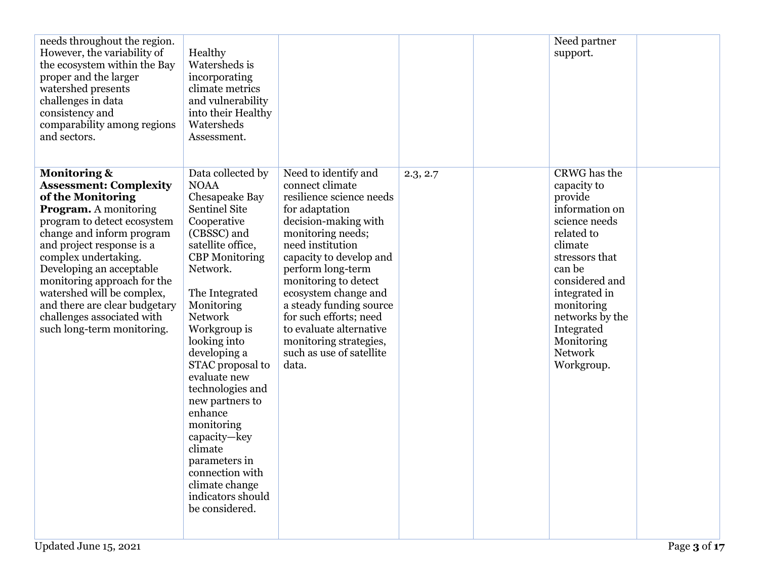| needs throughout the region.<br>However, the variability of<br>the ecosystem within the Bay<br>proper and the larger<br>watershed presents<br>challenges in data<br>consistency and<br>comparability among regions<br>and sectors.                                                                                                                                                                                   | Healthy<br>Watersheds is<br>incorporating<br>climate metrics<br>and vulnerability<br>into their Healthy<br>Watersheds<br>Assessment.                                                                                                                                                                                                                                                                                                                                                             |                                                                                                                                                                                                                                                                                                                                                                                                       |          | Need partner<br>support.                                                                                                                                                                                                                                       |  |
|----------------------------------------------------------------------------------------------------------------------------------------------------------------------------------------------------------------------------------------------------------------------------------------------------------------------------------------------------------------------------------------------------------------------|--------------------------------------------------------------------------------------------------------------------------------------------------------------------------------------------------------------------------------------------------------------------------------------------------------------------------------------------------------------------------------------------------------------------------------------------------------------------------------------------------|-------------------------------------------------------------------------------------------------------------------------------------------------------------------------------------------------------------------------------------------------------------------------------------------------------------------------------------------------------------------------------------------------------|----------|----------------------------------------------------------------------------------------------------------------------------------------------------------------------------------------------------------------------------------------------------------------|--|
| <b>Monitoring &amp;</b><br><b>Assessment: Complexity</b><br>of the Monitoring<br><b>Program.</b> A monitoring<br>program to detect ecosystem<br>change and inform program<br>and project response is a<br>complex undertaking.<br>Developing an acceptable<br>monitoring approach for the<br>watershed will be complex,<br>and there are clear budgetary<br>challenges associated with<br>such long-term monitoring. | Data collected by<br><b>NOAA</b><br>Chesapeake Bay<br><b>Sentinel Site</b><br>Cooperative<br>(CBSSC) and<br>satellite office,<br><b>CBP</b> Monitoring<br>Network.<br>The Integrated<br>Monitoring<br><b>Network</b><br>Workgroup is<br>looking into<br>developing a<br>STAC proposal to<br>evaluate new<br>technologies and<br>new partners to<br>enhance<br>monitoring<br>capacity-key<br>climate<br>parameters in<br>connection with<br>climate change<br>indicators should<br>be considered. | Need to identify and<br>connect climate<br>resilience science needs<br>for adaptation<br>decision-making with<br>monitoring needs;<br>need institution<br>capacity to develop and<br>perform long-term<br>monitoring to detect<br>ecosystem change and<br>a steady funding source<br>for such efforts; need<br>to evaluate alternative<br>monitoring strategies,<br>such as use of satellite<br>data. | 2.3, 2.7 | CRWG has the<br>capacity to<br>provide<br>information on<br>science needs<br>related to<br>climate<br>stressors that<br>can be<br>considered and<br>integrated in<br>monitoring<br>networks by the<br>Integrated<br>Monitoring<br><b>Network</b><br>Workgroup. |  |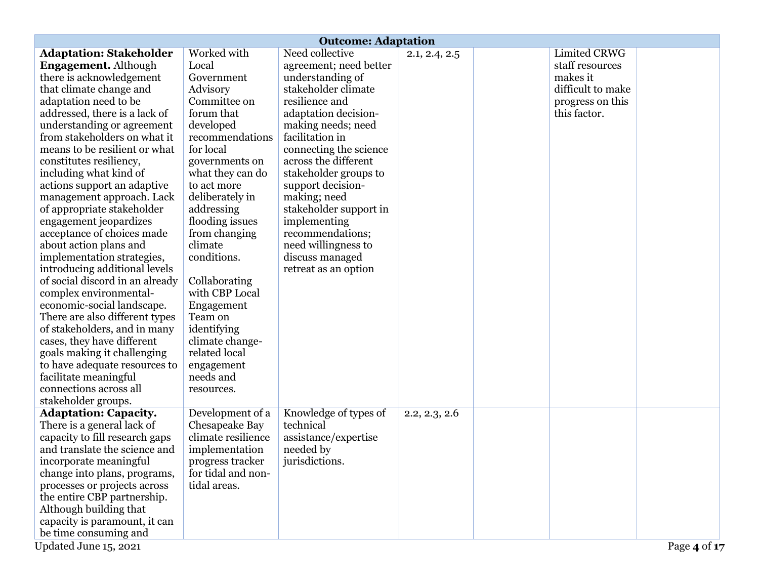|                                                | <b>Outcome: Adaptation</b> |                        |               |  |                   |              |
|------------------------------------------------|----------------------------|------------------------|---------------|--|-------------------|--------------|
| <b>Adaptation: Stakeholder</b>                 | Worked with                | Need collective        | 2.1, 2.4, 2.5 |  | Limited CRWG      |              |
| <b>Engagement.</b> Although                    | Local                      | agreement; need better |               |  | staff resources   |              |
| there is acknowledgement                       | Government                 | understanding of       |               |  | makes it          |              |
| that climate change and                        | Advisory                   | stakeholder climate    |               |  | difficult to make |              |
| adaptation need to be                          | Committee on               | resilience and         |               |  | progress on this  |              |
| addressed, there is a lack of                  | forum that                 | adaptation decision-   |               |  | this factor.      |              |
| understanding or agreement                     | developed                  | making needs; need     |               |  |                   |              |
| from stakeholders on what it                   | recommendations            | facilitation in        |               |  |                   |              |
| means to be resilient or what                  | for local                  | connecting the science |               |  |                   |              |
| constitutes resiliency,                        | governments on             | across the different   |               |  |                   |              |
| including what kind of                         | what they can do           | stakeholder groups to  |               |  |                   |              |
| actions support an adaptive                    | to act more                | support decision-      |               |  |                   |              |
| management approach. Lack                      | deliberately in            | making; need           |               |  |                   |              |
| of appropriate stakeholder                     | addressing                 | stakeholder support in |               |  |                   |              |
| engagement jeopardizes                         | flooding issues            | implementing           |               |  |                   |              |
| acceptance of choices made                     | from changing              | recommendations;       |               |  |                   |              |
| about action plans and                         | climate                    | need willingness to    |               |  |                   |              |
| implementation strategies,                     | conditions.                | discuss managed        |               |  |                   |              |
| introducing additional levels                  |                            | retreat as an option   |               |  |                   |              |
| of social discord in an already                | Collaborating              |                        |               |  |                   |              |
| complex environmental-                         | with CBP Local             |                        |               |  |                   |              |
| economic-social landscape.                     | Engagement                 |                        |               |  |                   |              |
| There are also different types                 | Team on                    |                        |               |  |                   |              |
| of stakeholders, and in many                   | identifying                |                        |               |  |                   |              |
| cases, they have different                     | climate change-            |                        |               |  |                   |              |
| goals making it challenging                    | related local              |                        |               |  |                   |              |
| to have adequate resources to                  | engagement                 |                        |               |  |                   |              |
| facilitate meaningful                          | needs and                  |                        |               |  |                   |              |
| connections across all                         | resources.                 |                        |               |  |                   |              |
| stakeholder groups.                            |                            |                        |               |  |                   |              |
| <b>Adaptation: Capacity.</b>                   | Development of a           | Knowledge of types of  | 2.2, 2.3, 2.6 |  |                   |              |
| There is a general lack of                     | Chesapeake Bay             | technical              |               |  |                   |              |
| capacity to fill research gaps                 | climate resilience         | assistance/expertise   |               |  |                   |              |
| and translate the science and                  | implementation             | needed by              |               |  |                   |              |
| incorporate meaningful                         | progress tracker           | jurisdictions.         |               |  |                   |              |
| change into plans, programs,                   | for tidal and non-         |                        |               |  |                   |              |
| processes or projects across                   | tidal areas.               |                        |               |  |                   |              |
| the entire CBP partnership.                    |                            |                        |               |  |                   |              |
| Although building that                         |                            |                        |               |  |                   |              |
| capacity is paramount, it can                  |                            |                        |               |  |                   |              |
| be time consuming and<br>Updated June 15, 2021 |                            |                        |               |  |                   |              |
|                                                |                            |                        |               |  |                   | Page 4 of 17 |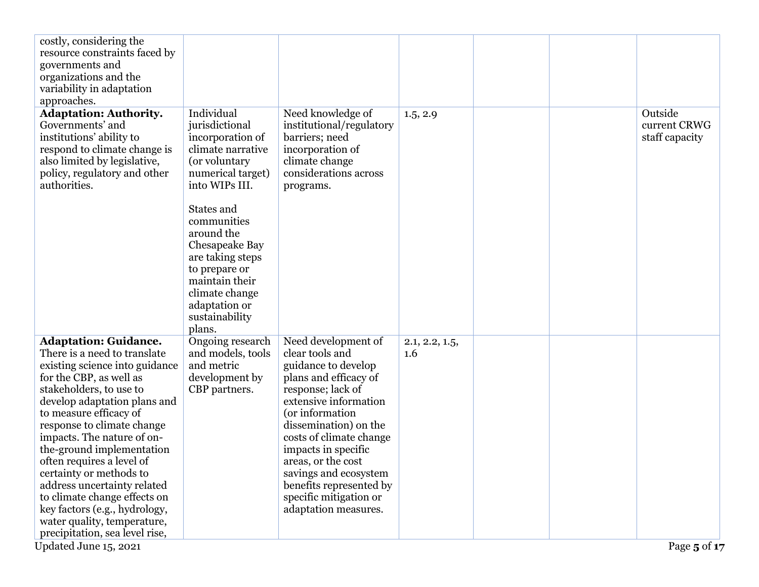| costly, considering the<br>resource constraints faced by<br>governments and<br>organizations and the<br>variability in adaptation<br>approaches.                                                                                                                                                                                                                                                                                                                                                                                                          |                                                                                                                                                                   |                                                                                                                                                                                                                                                                                                                                                                |                       |  |                                           |
|-----------------------------------------------------------------------------------------------------------------------------------------------------------------------------------------------------------------------------------------------------------------------------------------------------------------------------------------------------------------------------------------------------------------------------------------------------------------------------------------------------------------------------------------------------------|-------------------------------------------------------------------------------------------------------------------------------------------------------------------|----------------------------------------------------------------------------------------------------------------------------------------------------------------------------------------------------------------------------------------------------------------------------------------------------------------------------------------------------------------|-----------------------|--|-------------------------------------------|
| <b>Adaptation: Authority.</b><br>Governments' and<br>institutions' ability to<br>respond to climate change is<br>also limited by legislative,<br>policy, regulatory and other<br>authorities.                                                                                                                                                                                                                                                                                                                                                             | Individual<br>jurisdictional<br>incorporation of<br>climate narrative<br>(or voluntary<br>numerical target)<br>into WIPs III.<br>States and                       | Need knowledge of<br>institutional/regulatory<br>barriers; need<br>incorporation of<br>climate change<br>considerations across<br>programs.                                                                                                                                                                                                                    | 1.5, 2.9              |  | Outside<br>current CRWG<br>staff capacity |
|                                                                                                                                                                                                                                                                                                                                                                                                                                                                                                                                                           | communities<br>around the<br>Chesapeake Bay<br>are taking steps<br>to prepare or<br>maintain their<br>climate change<br>adaptation or<br>sustainability<br>plans. |                                                                                                                                                                                                                                                                                                                                                                |                       |  |                                           |
| <b>Adaptation: Guidance.</b><br>There is a need to translate<br>existing science into guidance<br>for the CBP, as well as<br>stakeholders, to use to<br>develop adaptation plans and<br>to measure efficacy of<br>response to climate change<br>impacts. The nature of on-<br>the-ground implementation<br>often requires a level of<br>certainty or methods to<br>address uncertainty related<br>to climate change effects on<br>key factors (e.g., hydrology,<br>water quality, temperature,<br>precipitation, sea level rise,<br>Updated June 15, 2021 | Ongoing research<br>and models, tools<br>and metric<br>development by<br>CBP partners.                                                                            | Need development of<br>clear tools and<br>guidance to develop<br>plans and efficacy of<br>response; lack of<br>extensive information<br>(or information<br>dissemination) on the<br>costs of climate change<br>impacts in specific<br>areas, or the cost<br>savings and ecosystem<br>benefits represented by<br>specific mitigation or<br>adaptation measures. | 2.1, 2.2, 1.5,<br>1.6 |  | Page 5 of 17                              |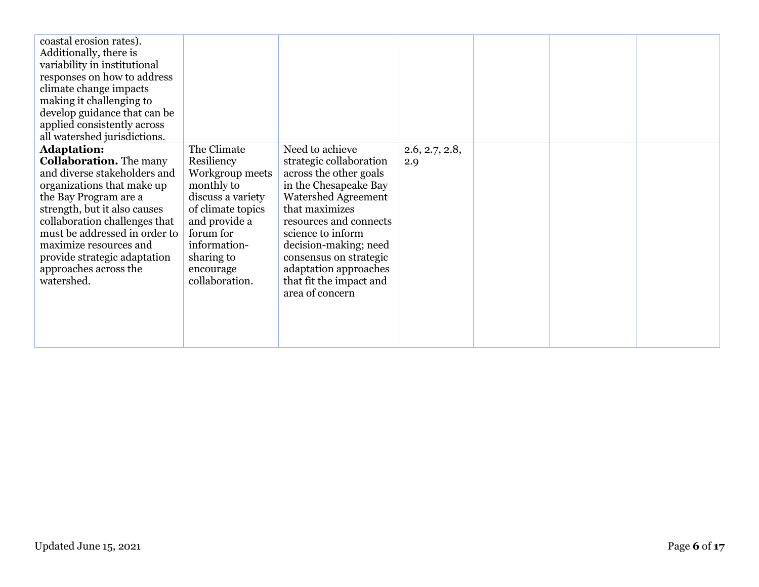| coastal erosion rates).<br>Additionally, there is<br>variability in institutional<br>responses on how to address<br>climate change impacts<br>making it challenging to<br>develop guidance that can be<br>applied consistently across<br>all watershed jurisdictions.                                                                          |                                                                                                                                                                                                 |                                                                                                                                                                                                                                                                                                                        |                       |  |  |
|------------------------------------------------------------------------------------------------------------------------------------------------------------------------------------------------------------------------------------------------------------------------------------------------------------------------------------------------|-------------------------------------------------------------------------------------------------------------------------------------------------------------------------------------------------|------------------------------------------------------------------------------------------------------------------------------------------------------------------------------------------------------------------------------------------------------------------------------------------------------------------------|-----------------------|--|--|
| <b>Adaptation:</b><br><b>Collaboration.</b> The many<br>and diverse stakeholders and<br>organizations that make up<br>the Bay Program are a<br>strength, but it also causes<br>collaboration challenges that<br>must be addressed in order to<br>maximize resources and<br>provide strategic adaptation<br>approaches across the<br>watershed. | The Climate<br>Resiliency<br>Workgroup meets<br>monthly to<br>discuss a variety<br>of climate topics<br>and provide a<br>forum for<br>information-<br>sharing to<br>encourage<br>collaboration. | Need to achieve<br>strategic collaboration<br>across the other goals<br>in the Chesapeake Bay<br><b>Watershed Agreement</b><br>that maximizes<br>resources and connects<br>science to inform<br>decision-making; need<br>consensus on strategic<br>adaptation approaches<br>that fit the impact and<br>area of concern | 2.6, 2.7, 2.8,<br>2.9 |  |  |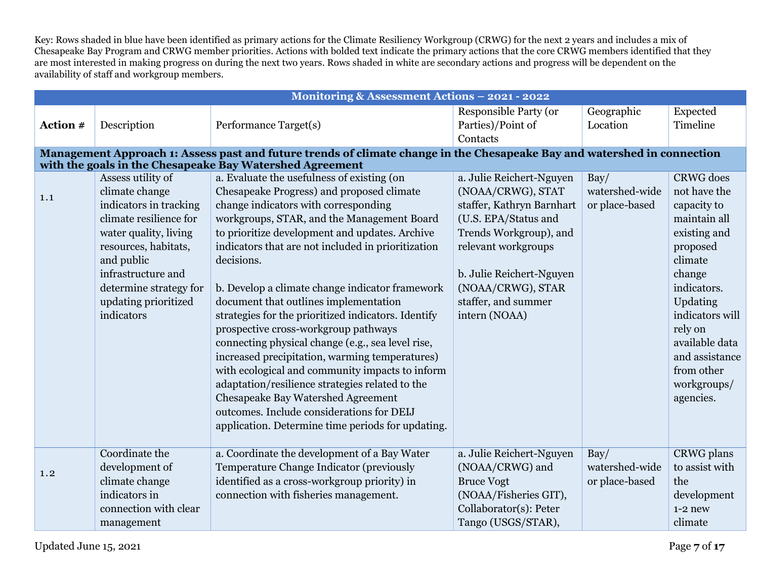Key: Rows shaded in blue have been identified as primary actions for the Climate Resiliency Workgroup (CRWG) for the next 2 years and includes a mix of Chesapeake Bay Program and CRWG member priorities. Actions with bolded text indicate the primary actions that the core CRWG members identified that they are most interested in making progress on during the next two years. Rows shaded in white are secondary actions and progress will be dependent on the availability of staff and workgroup members.

|          |                        | Monitoring & Assessment Actions - 2021 - 2022                                                                            |                               |                        |                      |
|----------|------------------------|--------------------------------------------------------------------------------------------------------------------------|-------------------------------|------------------------|----------------------|
|          |                        |                                                                                                                          | <b>Responsible Party (or</b>  | Geographic<br>Location | Expected<br>Timeline |
| Action # | Description            | Performance Target(s)                                                                                                    | Parties)/Point of<br>Contacts |                        |                      |
|          |                        | Management Approach 1: Assess past and future trends of climate change in the Chesapeake Bay and watershed in connection |                               |                        |                      |
|          |                        | with the goals in the Chesapeake Bay Watershed Agreement                                                                 |                               |                        |                      |
|          | Assess utility of      | a. Evaluate the usefulness of existing (on                                                                               | a. Julie Reichert-Nguyen      | $\text{Bay}/$          | <b>CRWG</b> does     |
| 1.1      | climate change         | Chesapeake Progress) and proposed climate                                                                                | (NOAA/CRWG), STAT             | watershed-wide         | not have the         |
|          | indicators in tracking | change indicators with corresponding                                                                                     | staffer, Kathryn Barnhart     | or place-based         | capacity to          |
|          | climate resilience for | workgroups, STAR, and the Management Board                                                                               | (U.S. EPA/Status and          |                        | maintain all         |
|          | water quality, living  | to prioritize development and updates. Archive                                                                           | Trends Workgroup), and        |                        | existing and         |
|          | resources, habitats,   | indicators that are not included in prioritization                                                                       | relevant workgroups           |                        | proposed             |
|          | and public             | decisions.                                                                                                               |                               |                        | climate              |
|          | infrastructure and     |                                                                                                                          | b. Julie Reichert-Nguyen      |                        | change               |
|          | determine strategy for | b. Develop a climate change indicator framework                                                                          | (NOAA/CRWG), STAR             |                        | indicators.          |
|          | updating prioritized   | document that outlines implementation                                                                                    | staffer, and summer           |                        | Updating             |
|          | indicators             | strategies for the prioritized indicators. Identify                                                                      | intern (NOAA)                 |                        | indicators will      |
|          |                        | prospective cross-workgroup pathways                                                                                     |                               |                        | rely on              |
|          |                        | connecting physical change (e.g., sea level rise,                                                                        |                               |                        | available data       |
|          |                        | increased precipitation, warming temperatures)                                                                           |                               |                        | and assistance       |
|          |                        | with ecological and community impacts to inform                                                                          |                               |                        | from other           |
|          |                        | adaptation/resilience strategies related to the                                                                          |                               |                        | workgroups/          |
|          |                        | Chesapeake Bay Watershed Agreement                                                                                       |                               |                        | agencies.            |
|          |                        | outcomes. Include considerations for DEIJ                                                                                |                               |                        |                      |
|          |                        | application. Determine time periods for updating.                                                                        |                               |                        |                      |
|          | Coordinate the         | a. Coordinate the development of a Bay Water                                                                             | a. Julie Reichert-Nguyen      | Bay/                   | CRWG plans           |
|          | development of         | Temperature Change Indicator (previously                                                                                 | (NOAA/CRWG) and               | watershed-wide         | to assist with       |
| 1.2      | climate change         | identified as a cross-workgroup priority) in                                                                             | <b>Bruce Vogt</b>             | or place-based         | the                  |
|          | indicators in          | connection with fisheries management.                                                                                    | (NOAA/Fisheries GIT),         |                        | development          |
|          | connection with clear  |                                                                                                                          | Collaborator(s): Peter        |                        | $1-2$ new            |
|          | management             |                                                                                                                          | Tango (USGS/STAR),            |                        | climate              |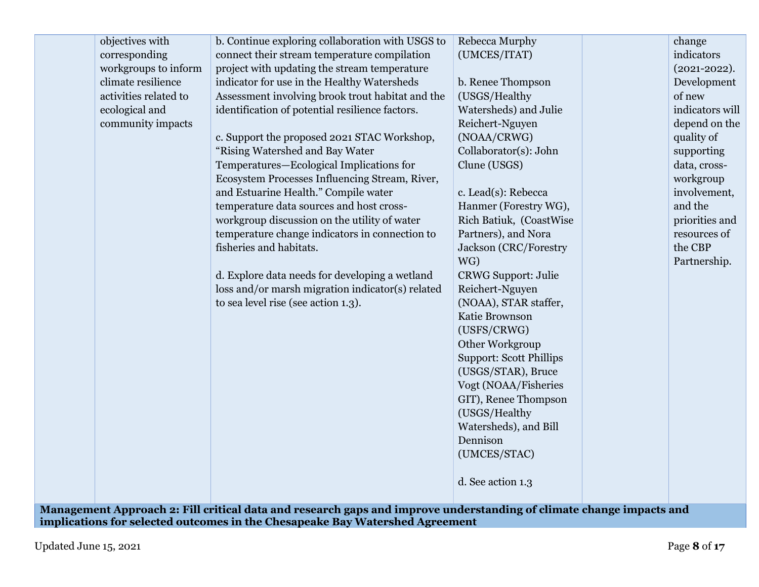| objectives with       | b. Continue exploring collaboration with USGS to | Rebecca Murphy                 | change           |
|-----------------------|--------------------------------------------------|--------------------------------|------------------|
| corresponding         | connect their stream temperature compilation     | (UMCES/ITAT)                   | indicators       |
| workgroups to inform  | project with updating the stream temperature     |                                | $(2021 - 2022).$ |
| climate resilience    | indicator for use in the Healthy Watersheds      | b. Renee Thompson              | Development      |
| activities related to | Assessment involving brook trout habitat and the | (USGS/Healthy                  | of new           |
| ecological and        | identification of potential resilience factors.  | Watersheds) and Julie          | indicators will  |
| community impacts     |                                                  | Reichert-Nguyen                | depend on the    |
|                       | c. Support the proposed 2021 STAC Workshop,      | (NOAA/CRWG)                    | quality of       |
|                       | "Rising Watershed and Bay Water                  | Collaborator(s): John          | supporting       |
|                       | Temperatures-Ecological Implications for         | Clune (USGS)                   | data, cross-     |
|                       | Ecosystem Processes Influencing Stream, River,   |                                | workgroup        |
|                       | and Estuarine Health." Compile water             | c. Lead(s): Rebecca            | involvement,     |
|                       | temperature data sources and host cross-         | Hanmer (Forestry WG),          | and the          |
|                       | workgroup discussion on the utility of water     | Rich Batiuk, (CoastWise        | priorities and   |
|                       | temperature change indicators in connection to   | Partners), and Nora            | resources of     |
|                       | fisheries and habitats.                          | Jackson (CRC/Forestry          | the CBP          |
|                       |                                                  | WG)                            | Partnership.     |
|                       | d. Explore data needs for developing a wetland   | <b>CRWG Support: Julie</b>     |                  |
|                       | loss and/or marsh migration indicator(s) related | Reichert-Nguyen                |                  |
|                       | to sea level rise (see action 1.3).              | (NOAA), STAR staffer,          |                  |
|                       |                                                  | Katie Brownson                 |                  |
|                       |                                                  | (USFS/CRWG)                    |                  |
|                       |                                                  | Other Workgroup                |                  |
|                       |                                                  | <b>Support: Scott Phillips</b> |                  |
|                       |                                                  | (USGS/STAR), Bruce             |                  |
|                       |                                                  | Vogt (NOAA/Fisheries           |                  |
|                       |                                                  | GIT), Renee Thompson           |                  |
|                       |                                                  | (USGS/Healthy                  |                  |
|                       |                                                  | Watersheds), and Bill          |                  |
|                       |                                                  | Dennison                       |                  |
|                       |                                                  | (UMCES/STAC)                   |                  |
|                       |                                                  |                                |                  |
|                       |                                                  | d. See action 1.3              |                  |
|                       |                                                  |                                |                  |

**Management Approach 2: Fill critical data and research gaps and improve understanding of climate change impacts and implications for selected outcomes in the Chesapeake Bay Watershed Agreement**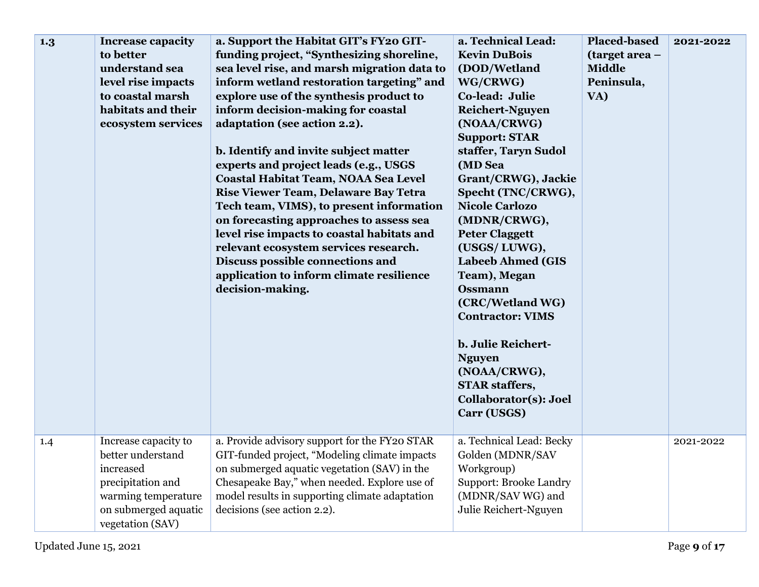| 1.3 | <b>Increase capacity</b><br>to better<br>understand sea<br>level rise impacts<br>to coastal marsh<br>habitats and their<br>ecosystem services  | a. Support the Habitat GIT's FY20 GIT-<br>funding project, "Synthesizing shoreline,<br>sea level rise, and marsh migration data to<br>inform wetland restoration targeting" and<br>explore use of the synthesis product to<br>inform decision-making for coastal<br>adaptation (see action 2.2).<br>b. Identify and invite subject matter<br>experts and project leads (e.g., USGS<br>Coastal Habitat Team, NOAA Sea Level<br>Rise Viewer Team, Delaware Bay Tetra<br>Tech team, VIMS), to present information<br>on forecasting approaches to assess sea<br>level rise impacts to coastal habitats and<br>relevant ecosystem services research.<br>Discuss possible connections and<br>application to inform climate resilience<br>decision-making. | a. Technical Lead:<br><b>Kevin DuBois</b><br>(DOD/Wetland<br>WG/CRWG)<br>Co-lead: Julie<br><b>Reichert-Nguyen</b><br>(NOAA/CRWG)<br><b>Support: STAR</b><br>staffer, Taryn Sudol<br>(MD Sea<br>Grant/CRWG), Jackie<br>Specht (TNC/CRWG),<br><b>Nicole Carlozo</b><br>(MDNR/CRWG),<br><b>Peter Claggett</b><br>(USGS/LUWG),<br><b>Labeeb Ahmed (GIS</b><br>Team), Megan<br><b>Ossmann</b><br>(CRC/Wetland WG)<br><b>Contractor: VIMS</b><br>b. Julie Reichert-<br><b>Nguyen</b><br>(NOAA/CRWG),<br><b>STAR staffers,</b><br>Collaborator(s): Joel<br>Carr (USGS) | <b>Placed-based</b><br>(target area -<br><b>Middle</b><br>Peninsula,<br>VA) | 2021-2022 |
|-----|------------------------------------------------------------------------------------------------------------------------------------------------|------------------------------------------------------------------------------------------------------------------------------------------------------------------------------------------------------------------------------------------------------------------------------------------------------------------------------------------------------------------------------------------------------------------------------------------------------------------------------------------------------------------------------------------------------------------------------------------------------------------------------------------------------------------------------------------------------------------------------------------------------|-----------------------------------------------------------------------------------------------------------------------------------------------------------------------------------------------------------------------------------------------------------------------------------------------------------------------------------------------------------------------------------------------------------------------------------------------------------------------------------------------------------------------------------------------------------------|-----------------------------------------------------------------------------|-----------|
| 1.4 | Increase capacity to<br>better understand<br>increased<br>precipitation and<br>warming temperature<br>on submerged aquatic<br>vegetation (SAV) | a. Provide advisory support for the FY20 STAR<br>GIT-funded project, "Modeling climate impacts<br>on submerged aquatic vegetation (SAV) in the<br>Chesapeake Bay," when needed. Explore use of<br>model results in supporting climate adaptation<br>decisions (see action 2.2).                                                                                                                                                                                                                                                                                                                                                                                                                                                                      | a. Technical Lead: Becky<br>Golden (MDNR/SAV<br>Workgroup)<br><b>Support: Brooke Landry</b><br>(MDNR/SAV WG) and<br>Julie Reichert-Nguyen                                                                                                                                                                                                                                                                                                                                                                                                                       |                                                                             | 2021-2022 |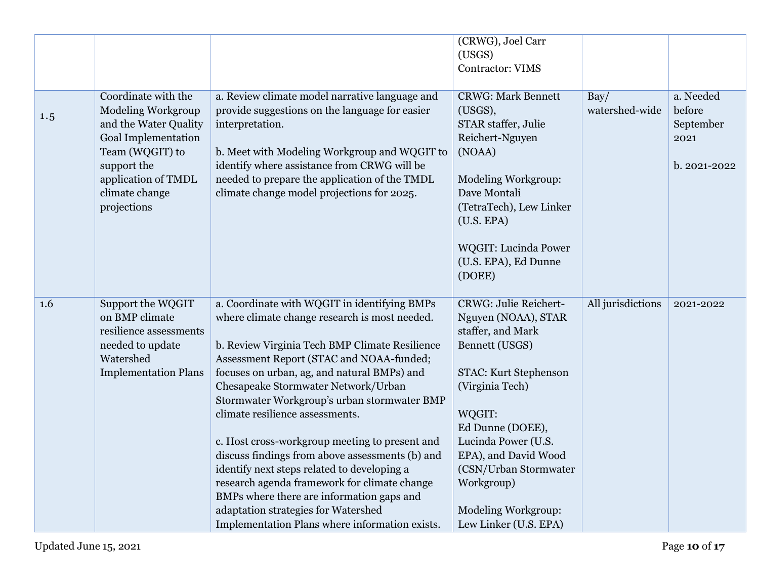|     |                                                                                                                                                                                                   |                                                                                                                                                                                                                                                                                                                                                                                                                                                                                                                                                                                                                                                                                                               | (CRWG), Joel Carr<br>(USGS)<br><b>Contractor: VIMS</b>                                                                                                                                                                                                                                                     |                        |                                                          |
|-----|---------------------------------------------------------------------------------------------------------------------------------------------------------------------------------------------------|---------------------------------------------------------------------------------------------------------------------------------------------------------------------------------------------------------------------------------------------------------------------------------------------------------------------------------------------------------------------------------------------------------------------------------------------------------------------------------------------------------------------------------------------------------------------------------------------------------------------------------------------------------------------------------------------------------------|------------------------------------------------------------------------------------------------------------------------------------------------------------------------------------------------------------------------------------------------------------------------------------------------------------|------------------------|----------------------------------------------------------|
|     |                                                                                                                                                                                                   |                                                                                                                                                                                                                                                                                                                                                                                                                                                                                                                                                                                                                                                                                                               |                                                                                                                                                                                                                                                                                                            |                        |                                                          |
| 1.5 | Coordinate with the<br><b>Modeling Workgroup</b><br>and the Water Quality<br><b>Goal Implementation</b><br>Team (WQGIT) to<br>support the<br>application of TMDL<br>climate change<br>projections | a. Review climate model narrative language and<br>provide suggestions on the language for easier<br>interpretation.<br>b. Meet with Modeling Workgroup and WQGIT to<br>identify where assistance from CRWG will be<br>needed to prepare the application of the TMDL<br>climate change model projections for 2025.                                                                                                                                                                                                                                                                                                                                                                                             | <b>CRWG: Mark Bennett</b><br>(USGS),<br>STAR staffer, Julie<br>Reichert-Nguyen<br>(NOAA)<br>Modeling Workgroup:<br>Dave Montali<br>(TetraTech), Lew Linker<br>(U.S. EPA)<br><b>WQGIT: Lucinda Power</b><br>(U.S. EPA), Ed Dunne<br>(DOEE)                                                                  | Bay/<br>watershed-wide | a. Needed<br>before<br>September<br>2021<br>b. 2021-2022 |
| 1.6 | Support the WQGIT<br>on BMP climate<br>resilience assessments<br>needed to update<br>Watershed<br><b>Implementation Plans</b>                                                                     | a. Coordinate with WQGIT in identifying BMPs<br>where climate change research is most needed.<br>b. Review Virginia Tech BMP Climate Resilience<br>Assessment Report (STAC and NOAA-funded;<br>focuses on urban, ag, and natural BMPs) and<br>Chesapeake Stormwater Network/Urban<br>Stormwater Workgroup's urban stormwater BMP<br>climate resilience assessments.<br>c. Host cross-workgroup meeting to present and<br>discuss findings from above assessments (b) and<br>identify next steps related to developing a<br>research agenda framework for climate change<br>BMPs where there are information gaps and<br>adaptation strategies for Watershed<br>Implementation Plans where information exists. | <b>CRWG: Julie Reichert-</b><br>Nguyen (NOAA), STAR<br>staffer, and Mark<br>Bennett (USGS)<br>STAC: Kurt Stephenson<br>(Virginia Tech)<br>WQGIT:<br>Ed Dunne (DOEE),<br>Lucinda Power (U.S.<br>EPA), and David Wood<br>(CSN/Urban Stormwater<br>Workgroup)<br>Modeling Workgroup:<br>Lew Linker (U.S. EPA) | All jurisdictions      | 2021-2022                                                |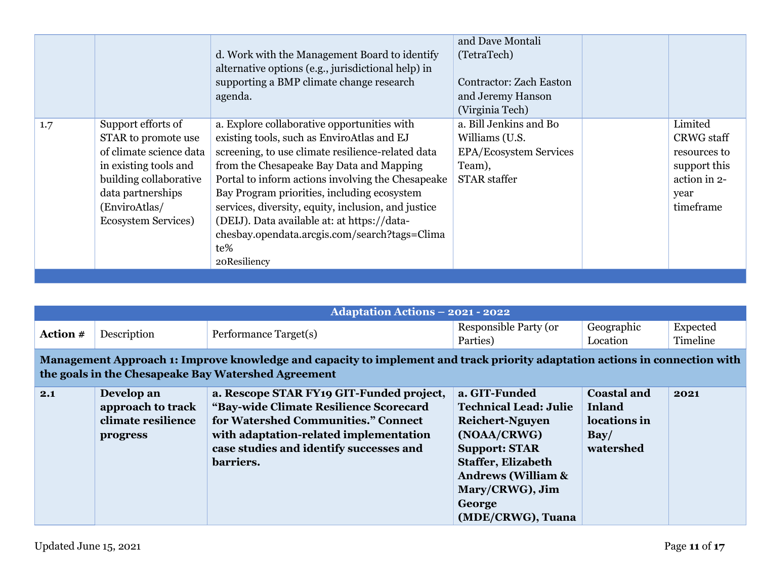|                                                                                                                                                                                                     | d. Work with the Management Board to identify<br>alternative options (e.g., jurisdictional help) in<br>supporting a BMP climate change research<br>agenda.                                                                                                                                                                                                                                                                                                                   | and Dave Montali<br>(TetraTech)<br>Contractor: Zach Easton<br>and Jeremy Hanson<br>(Virginia Tech)         |                 |                                                                                |
|-----------------------------------------------------------------------------------------------------------------------------------------------------------------------------------------------------|------------------------------------------------------------------------------------------------------------------------------------------------------------------------------------------------------------------------------------------------------------------------------------------------------------------------------------------------------------------------------------------------------------------------------------------------------------------------------|------------------------------------------------------------------------------------------------------------|-----------------|--------------------------------------------------------------------------------|
| Support efforts of<br>1.7<br>STAR to promote use<br>of climate science data<br>in existing tools and<br>building collaborative<br>data partnerships<br>(EnviroAtlas/<br><b>Ecosystem Services</b> ) | a. Explore collaborative opportunities with<br>existing tools, such as EnviroAtlas and EJ<br>screening, to use climate resilience-related data<br>from the Chesapeake Bay Data and Mapping<br>Portal to inform actions involving the Chesapeake<br>Bay Program priorities, including ecosystem<br>services, diversity, equity, inclusion, and justice<br>(DEIJ). Data available at: at https://data-<br>chesbay.opendata.arcgis.com/search?tags=Clima<br>te%<br>20Resiliency | a. Bill Jenkins and Bo<br>Williams (U.S.<br><b>EPA/Ecosystem Services</b><br>Team),<br><b>STAR</b> staffer | Limited<br>year | <b>CRWG</b> staff<br>resources to<br>support this<br>action in 2-<br>timeframe |

|          |                                                                                                                                                                                    | <b>Adaptation Actions - 2021 - 2022</b>                                                                                                                                                                                     |                                                                                                                                                                                                                                |                                                                                |                      |  |  |  |
|----------|------------------------------------------------------------------------------------------------------------------------------------------------------------------------------------|-----------------------------------------------------------------------------------------------------------------------------------------------------------------------------------------------------------------------------|--------------------------------------------------------------------------------------------------------------------------------------------------------------------------------------------------------------------------------|--------------------------------------------------------------------------------|----------------------|--|--|--|
| Action # | Description                                                                                                                                                                        | Performance Target(s)                                                                                                                                                                                                       | Responsible Party (or<br>Parties)                                                                                                                                                                                              | Geographic<br>Location                                                         | Expected<br>Timeline |  |  |  |
|          | Management Approach 1: Improve knowledge and capacity to implement and track priority adaptation actions in connection with<br>the goals in the Chesapeake Bay Watershed Agreement |                                                                                                                                                                                                                             |                                                                                                                                                                                                                                |                                                                                |                      |  |  |  |
| 2.1      | Develop an<br>approach to track<br>climate resilience<br>progress                                                                                                                  | a. Rescope STAR FY19 GIT-Funded project,<br>"Bay-wide Climate Resilience Scorecard<br>for Watershed Communities." Connect<br>with adaptation-related implementation<br>case studies and identify successes and<br>barriers. | a. GIT-Funded<br><b>Technical Lead: Julie</b><br><b>Reichert-Nguyen</b><br>(NOAA/CRWG)<br><b>Support: STAR</b><br><b>Staffer, Elizabeth</b><br><b>Andrews (William &amp;</b><br>Mary/CRWG), Jim<br>George<br>(MDE/CRWG), Tuana | <b>Coastal and</b><br><b>Inland</b><br>locations in<br>$\bf Bay/$<br>watershed | 2021                 |  |  |  |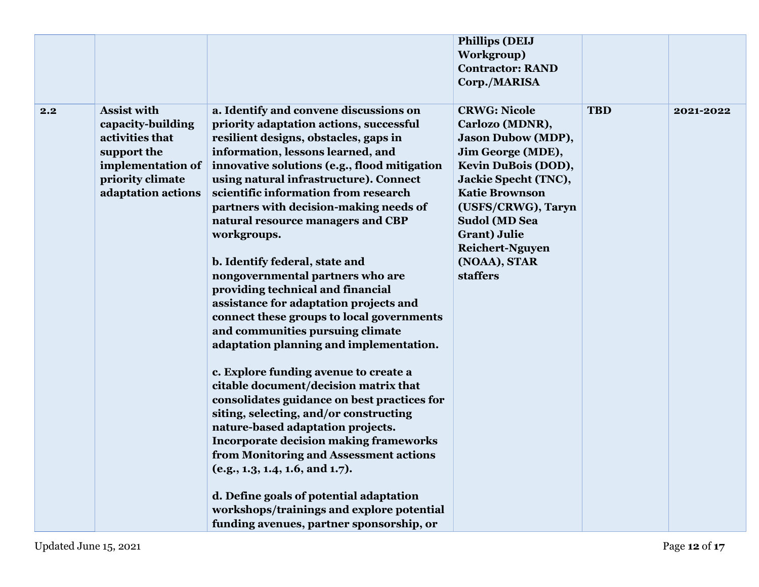|     |                    |                                               | <b>Phillips (DEIJ</b>       |            |           |
|-----|--------------------|-----------------------------------------------|-----------------------------|------------|-----------|
|     |                    |                                               | Workgroup)                  |            |           |
|     |                    |                                               | <b>Contractor: RAND</b>     |            |           |
|     |                    |                                               | Corp./MARISA                |            |           |
|     |                    |                                               |                             |            |           |
| 2.2 | <b>Assist with</b> | a. Identify and convene discussions on        | <b>CRWG: Nicole</b>         | <b>TBD</b> | 2021-2022 |
|     | capacity-building  | priority adaptation actions, successful       | Carlozo (MDNR),             |            |           |
|     | activities that    | resilient designs, obstacles, gaps in         | <b>Jason Dubow (MDP),</b>   |            |           |
|     | support the        | information, lessons learned, and             | Jim George (MDE),           |            |           |
|     | implementation of  | innovative solutions (e.g., flood mitigation  | Kevin DuBois (DOD),         |            |           |
|     | priority climate   | using natural infrastructure). Connect        | <b>Jackie Specht (TNC),</b> |            |           |
|     | adaptation actions | scientific information from research          | <b>Katie Brownson</b>       |            |           |
|     |                    | partners with decision-making needs of        | (USFS/CRWG), Taryn          |            |           |
|     |                    | natural resource managers and CBP             | <b>Sudol (MD Sea</b>        |            |           |
|     |                    | workgroups.                                   | <b>Grant</b> ) Julie        |            |           |
|     |                    |                                               | <b>Reichert-Nguyen</b>      |            |           |
|     |                    | b. Identify federal, state and                | (NOAA), STAR                |            |           |
|     |                    | nongovernmental partners who are              | <b>staffers</b>             |            |           |
|     |                    | providing technical and financial             |                             |            |           |
|     |                    | assistance for adaptation projects and        |                             |            |           |
|     |                    | connect these groups to local governments     |                             |            |           |
|     |                    | and communities pursuing climate              |                             |            |           |
|     |                    | adaptation planning and implementation.       |                             |            |           |
|     |                    | c. Explore funding avenue to create a         |                             |            |           |
|     |                    | citable document/decision matrix that         |                             |            |           |
|     |                    | consolidates guidance on best practices for   |                             |            |           |
|     |                    | siting, selecting, and/or constructing        |                             |            |           |
|     |                    | nature-based adaptation projects.             |                             |            |           |
|     |                    | <b>Incorporate decision making frameworks</b> |                             |            |           |
|     |                    | from Monitoring and Assessment actions        |                             |            |           |
|     |                    | (e.g., 1.3, 1.4, 1.6, and 1.7).               |                             |            |           |
|     |                    | d. Define goals of potential adaptation       |                             |            |           |
|     |                    | workshops/trainings and explore potential     |                             |            |           |
|     |                    |                                               |                             |            |           |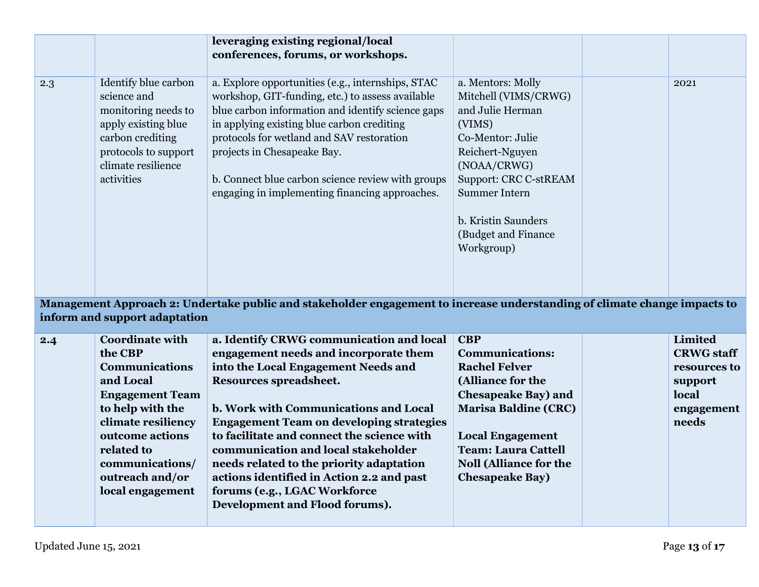|     |                                                                                                                                                                   | leveraging existing regional/local                                                                                                                                                                                                                                                                                                                                                          |                                                                                                                                                                                                                                                   |                   |
|-----|-------------------------------------------------------------------------------------------------------------------------------------------------------------------|---------------------------------------------------------------------------------------------------------------------------------------------------------------------------------------------------------------------------------------------------------------------------------------------------------------------------------------------------------------------------------------------|---------------------------------------------------------------------------------------------------------------------------------------------------------------------------------------------------------------------------------------------------|-------------------|
|     |                                                                                                                                                                   | conferences, forums, or workshops.                                                                                                                                                                                                                                                                                                                                                          |                                                                                                                                                                                                                                                   |                   |
|     |                                                                                                                                                                   |                                                                                                                                                                                                                                                                                                                                                                                             |                                                                                                                                                                                                                                                   |                   |
| 2.3 | Identify blue carbon<br>science and<br>monitoring needs to<br>apply existing blue<br>carbon crediting<br>protocols to support<br>climate resilience<br>activities | a. Explore opportunities (e.g., internships, STAC<br>workshop, GIT-funding, etc.) to assess available<br>blue carbon information and identify science gaps<br>in applying existing blue carbon crediting<br>protocols for wetland and SAV restoration<br>projects in Chesapeake Bay.<br>b. Connect blue carbon science review with groups<br>engaging in implementing financing approaches. | a. Mentors: Molly<br>Mitchell (VIMS/CRWG)<br>and Julie Herman<br>(VIMS)<br>Co-Mentor: Julie<br>Reichert-Nguyen<br>(NOAA/CRWG)<br><b>Support: CRC C-stREAM</b><br><b>Summer Intern</b><br>b. Kristin Saunders<br>(Budget and Finance<br>Workgroup) | 2021              |
|     | inform and support adaptation                                                                                                                                     | Management Approach 2: Undertake public and stakeholder engagement to increase understanding of climate change impacts to                                                                                                                                                                                                                                                                   |                                                                                                                                                                                                                                                   |                   |
| 2.4 | <b>Coordinate with</b>                                                                                                                                            | a. Identify CRWG communication and local                                                                                                                                                                                                                                                                                                                                                    | <b>CBP</b>                                                                                                                                                                                                                                        | <b>Limited</b>    |
|     | the CBP                                                                                                                                                           | engagement needs and incorporate them                                                                                                                                                                                                                                                                                                                                                       | <b>Communications:</b>                                                                                                                                                                                                                            | <b>CRWG</b> staff |
|     | <b>Communications</b>                                                                                                                                             | into the Local Engagement Needs and                                                                                                                                                                                                                                                                                                                                                         | <b>Rachel Felver</b>                                                                                                                                                                                                                              | resources to      |
|     | and Local                                                                                                                                                         | Resources spreadsheet.                                                                                                                                                                                                                                                                                                                                                                      | (Alliance for the                                                                                                                                                                                                                                 | support           |
|     | <b>Engagement Team</b>                                                                                                                                            |                                                                                                                                                                                                                                                                                                                                                                                             | <b>Chesapeake Bay) and</b>                                                                                                                                                                                                                        | local             |
|     | to help with the                                                                                                                                                  | b. Work with Communications and Local                                                                                                                                                                                                                                                                                                                                                       | <b>Marisa Baldine (CRC)</b>                                                                                                                                                                                                                       | engagement        |
|     | climate resiliency                                                                                                                                                | <b>Engagement Team on developing strategies</b>                                                                                                                                                                                                                                                                                                                                             |                                                                                                                                                                                                                                                   | needs             |
|     | outcome actions                                                                                                                                                   | to facilitate and connect the science with                                                                                                                                                                                                                                                                                                                                                  | <b>Local Engagement</b>                                                                                                                                                                                                                           |                   |
|     | related to                                                                                                                                                        | communication and local stakeholder                                                                                                                                                                                                                                                                                                                                                         | <b>Team: Laura Cattell</b>                                                                                                                                                                                                                        |                   |
|     | communications/                                                                                                                                                   | needs related to the priority adaptation                                                                                                                                                                                                                                                                                                                                                    | <b>Noll (Alliance for the</b>                                                                                                                                                                                                                     |                   |
|     | outreach and/or                                                                                                                                                   | actions identified in Action 2.2 and past                                                                                                                                                                                                                                                                                                                                                   | <b>Chesapeake Bay)</b>                                                                                                                                                                                                                            |                   |
|     | local engagement                                                                                                                                                  | forums (e.g., LGAC Workforce                                                                                                                                                                                                                                                                                                                                                                |                                                                                                                                                                                                                                                   |                   |
|     |                                                                                                                                                                   | Development and Flood forums).                                                                                                                                                                                                                                                                                                                                                              |                                                                                                                                                                                                                                                   |                   |
|     |                                                                                                                                                                   |                                                                                                                                                                                                                                                                                                                                                                                             |                                                                                                                                                                                                                                                   |                   |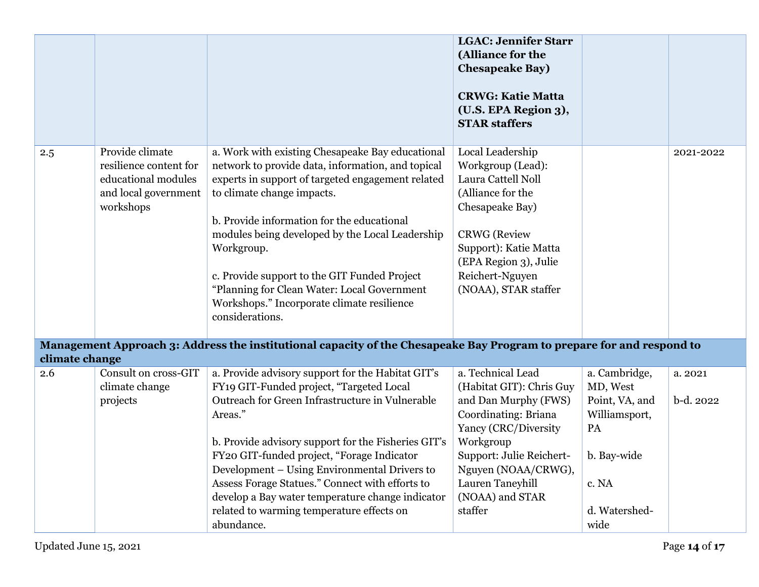|                                                                                                                                         |                                                                                                       |                                                                                                                                                                                                                                                                                                                                                                                                                                                                                    | <b>LGAC: Jennifer Starr</b><br>(Alliance for the<br><b>Chesapeake Bay)</b><br><b>CRWG: Katie Matta</b><br>(U.S. EPA Region 3),<br><b>STAR staffers</b>                                                                                  |                                                                                                                     |                      |  |
|-----------------------------------------------------------------------------------------------------------------------------------------|-------------------------------------------------------------------------------------------------------|------------------------------------------------------------------------------------------------------------------------------------------------------------------------------------------------------------------------------------------------------------------------------------------------------------------------------------------------------------------------------------------------------------------------------------------------------------------------------------|-----------------------------------------------------------------------------------------------------------------------------------------------------------------------------------------------------------------------------------------|---------------------------------------------------------------------------------------------------------------------|----------------------|--|
| 2.5                                                                                                                                     | Provide climate<br>resilience content for<br>educational modules<br>and local government<br>workshops | a. Work with existing Chesapeake Bay educational<br>network to provide data, information, and topical<br>experts in support of targeted engagement related<br>to climate change impacts.<br>b. Provide information for the educational<br>modules being developed by the Local Leadership<br>Workgroup.<br>c. Provide support to the GIT Funded Project<br>"Planning for Clean Water: Local Government<br>Workshops." Incorporate climate resilience<br>considerations.            | Local Leadership<br>Workgroup (Lead):<br>Laura Cattell Noll<br>(Alliance for the<br>Chesapeake Bay)<br><b>CRWG</b> (Review<br>Support): Katie Matta<br>(EPA Region 3), Julie<br>Reichert-Nguyen<br>(NOAA), STAR staffer                 |                                                                                                                     | 2021-2022            |  |
| Management Approach 3: Address the institutional capacity of the Chesapeake Bay Program to prepare for and respond to<br>climate change |                                                                                                       |                                                                                                                                                                                                                                                                                                                                                                                                                                                                                    |                                                                                                                                                                                                                                         |                                                                                                                     |                      |  |
| 2.6                                                                                                                                     | <b>Consult on cross-GIT</b><br>climate change<br>projects                                             | a. Provide advisory support for the Habitat GIT's<br>FY19 GIT-Funded project, "Targeted Local<br>Outreach for Green Infrastructure in Vulnerable<br>Areas."<br>b. Provide advisory support for the Fisheries GIT's<br>FY20 GIT-funded project, "Forage Indicator<br>Development – Using Environmental Drivers to<br>Assess Forage Statues." Connect with efforts to<br>develop a Bay water temperature change indicator<br>related to warming temperature effects on<br>abundance. | a. Technical Lead<br>(Habitat GIT): Chris Guy<br>and Dan Murphy (FWS)<br>Coordinating: Briana<br>Yancy (CRC/Diversity<br>Workgroup<br>Support: Julie Reichert-<br>Nguyen (NOAA/CRWG),<br>Lauren Taneyhill<br>(NOAA) and STAR<br>staffer | a. Cambridge,<br>MD, West<br>Point, VA, and<br>Williamsport,<br>PA<br>b. Bay-wide<br>c. NA<br>d. Watershed-<br>wide | a. 2021<br>b-d. 2022 |  |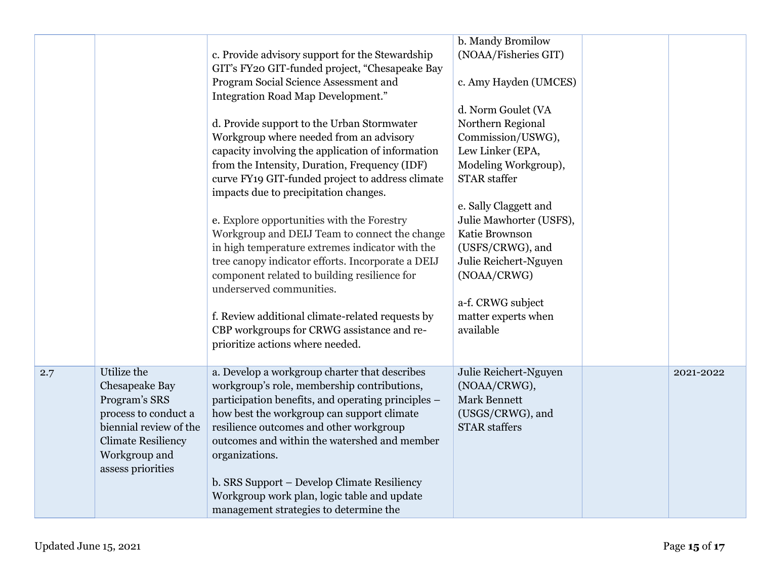|     |                           |                                                                                                   | b. Mandy Bromilow       |           |
|-----|---------------------------|---------------------------------------------------------------------------------------------------|-------------------------|-----------|
|     |                           | c. Provide advisory support for the Stewardship<br>GIT's FY20 GIT-funded project, "Chesapeake Bay | (NOAA/Fisheries GIT)    |           |
|     |                           | Program Social Science Assessment and<br>Integration Road Map Development."                       | c. Amy Hayden (UMCES)   |           |
|     |                           |                                                                                                   | d. Norm Goulet (VA      |           |
|     |                           | d. Provide support to the Urban Stormwater                                                        | Northern Regional       |           |
|     |                           | Workgroup where needed from an advisory                                                           | Commission/USWG),       |           |
|     |                           | capacity involving the application of information                                                 | Lew Linker (EPA,        |           |
|     |                           | from the Intensity, Duration, Frequency (IDF)                                                     | Modeling Workgroup),    |           |
|     |                           | curve FY19 GIT-funded project to address climate                                                  | <b>STAR</b> staffer     |           |
|     |                           | impacts due to precipitation changes.                                                             |                         |           |
|     |                           |                                                                                                   | e. Sally Claggett and   |           |
|     |                           | e. Explore opportunities with the Forestry                                                        | Julie Mawhorter (USFS), |           |
|     |                           | Workgroup and DEIJ Team to connect the change                                                     | Katie Brownson          |           |
|     |                           | in high temperature extremes indicator with the                                                   | (USFS/CRWG), and        |           |
|     |                           | tree canopy indicator efforts. Incorporate a DEIJ                                                 | Julie Reichert-Nguyen   |           |
|     |                           | component related to building resilience for<br>underserved communities.                          | (NOAA/CRWG)             |           |
|     |                           |                                                                                                   | a-f. CRWG subject       |           |
|     |                           | f. Review additional climate-related requests by                                                  | matter experts when     |           |
|     |                           | CBP workgroups for CRWG assistance and re-                                                        | available               |           |
|     |                           | prioritize actions where needed.                                                                  |                         |           |
|     |                           |                                                                                                   |                         |           |
| 2.7 | Utilize the               | a. Develop a workgroup charter that describes                                                     | Julie Reichert-Nguyen   | 2021-2022 |
|     | Chesapeake Bay            | workgroup's role, membership contributions,                                                       | (NOAA/CRWG),            |           |
|     | Program's SRS             | participation benefits, and operating principles –                                                | Mark Bennett            |           |
|     | process to conduct a      | how best the workgroup can support climate                                                        | (USGS/CRWG), and        |           |
|     | biennial review of the    | resilience outcomes and other workgroup                                                           | <b>STAR</b> staffers    |           |
|     | <b>Climate Resiliency</b> | outcomes and within the watershed and member                                                      |                         |           |
|     | Workgroup and             | organizations.                                                                                    |                         |           |
|     | assess priorities         |                                                                                                   |                         |           |
|     |                           | b. SRS Support - Develop Climate Resiliency                                                       |                         |           |
|     |                           | Workgroup work plan, logic table and update                                                       |                         |           |
|     |                           | management strategies to determine the                                                            |                         |           |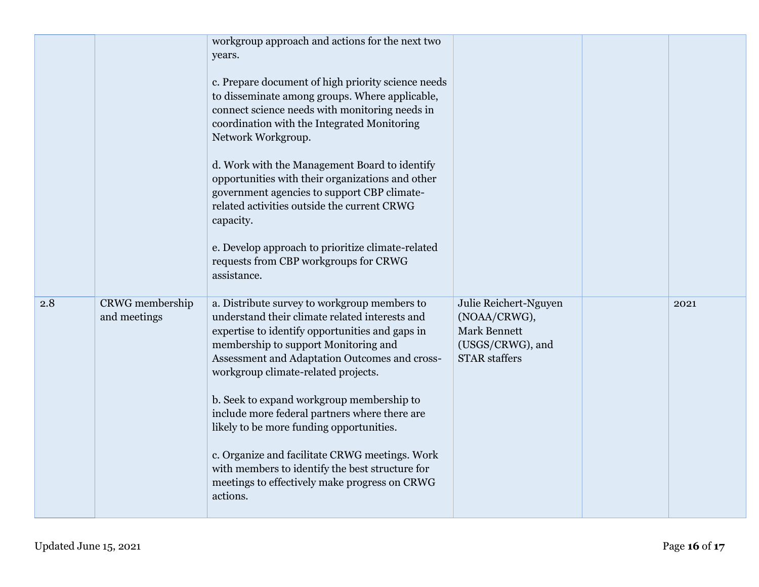|     |                                 | workgroup approach and actions for the next two<br>years.<br>c. Prepare document of high priority science needs<br>to disseminate among groups. Where applicable,<br>connect science needs with monitoring needs in<br>coordination with the Integrated Monitoring<br>Network Workgroup.<br>d. Work with the Management Board to identify<br>opportunities with their organizations and other<br>government agencies to support CBP climate-<br>related activities outside the current CRWG<br>capacity.<br>e. Develop approach to prioritize climate-related<br>requests from CBP workgroups for CRWG<br>assistance. |                                                                                                          |      |
|-----|---------------------------------|-----------------------------------------------------------------------------------------------------------------------------------------------------------------------------------------------------------------------------------------------------------------------------------------------------------------------------------------------------------------------------------------------------------------------------------------------------------------------------------------------------------------------------------------------------------------------------------------------------------------------|----------------------------------------------------------------------------------------------------------|------|
| 2.8 | CRWG membership<br>and meetings | a. Distribute survey to workgroup members to<br>understand their climate related interests and<br>expertise to identify opportunities and gaps in<br>membership to support Monitoring and<br>Assessment and Adaptation Outcomes and cross-<br>workgroup climate-related projects.<br>b. Seek to expand workgroup membership to<br>include more federal partners where there are<br>likely to be more funding opportunities.<br>c. Organize and facilitate CRWG meetings. Work<br>with members to identify the best structure for<br>meetings to effectively make progress on CRWG<br>actions.                         | Julie Reichert-Nguyen<br>(NOAA/CRWG),<br><b>Mark Bennett</b><br>(USGS/CRWG), and<br><b>STAR</b> staffers | 2021 |